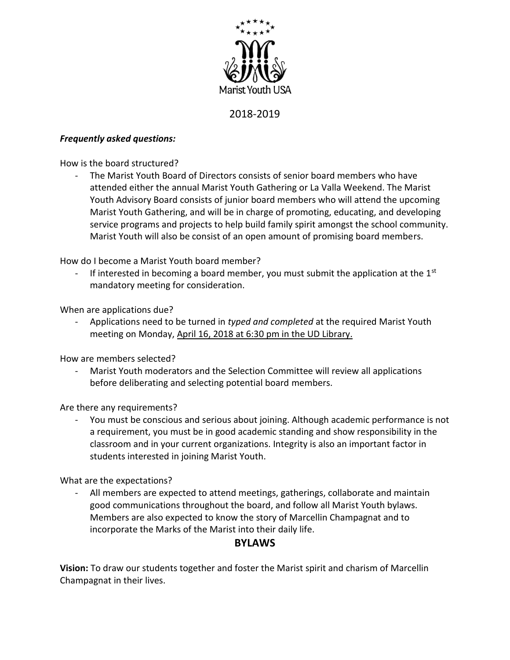

## 2018-2019

## *Frequently asked questions:*

How is the board structured?

- The Marist Youth Board of Directors consists of senior board members who have attended either the annual Marist Youth Gathering or La Valla Weekend. The Marist Youth Advisory Board consists of junior board members who will attend the upcoming Marist Youth Gathering, and will be in charge of promoting, educating, and developing service programs and projects to help build family spirit amongst the school community. Marist Youth will also be consist of an open amount of promising board members.

How do I become a Marist Youth board member?

If interested in becoming a board member, you must submit the application at the  $1<sup>st</sup>$ mandatory meeting for consideration.

When are applications due?

- Applications need to be turned in *typed and completed* at the required Marist Youth meeting on Monday, April 16, 2018 at 6:30 pm in the UD Library.

How are members selected?

Marist Youth moderators and the Selection Committee will review all applications before deliberating and selecting potential board members.

Are there any requirements?

- You must be conscious and serious about joining. Although academic performance is not a requirement, you must be in good academic standing and show responsibility in the classroom and in your current organizations. Integrity is also an important factor in students interested in joining Marist Youth.

What are the expectations?

All members are expected to attend meetings, gatherings, collaborate and maintain good communications throughout the board, and follow all Marist Youth bylaws. Members are also expected to know the story of Marcellin Champagnat and to incorporate the Marks of the Marist into their daily life.

## **BYLAWS**

**Vision:** To draw our students together and foster the Marist spirit and charism of Marcellin Champagnat in their lives.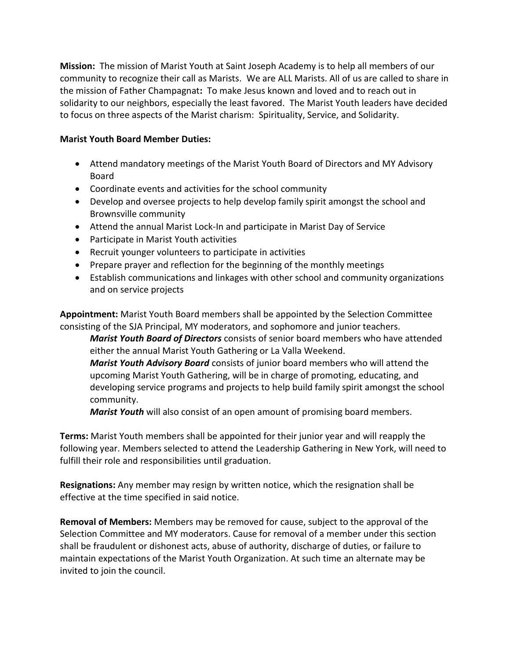**Mission:** The mission of Marist Youth at Saint Joseph Academy is to help all members of our community to recognize their call as Marists. We are ALL Marists. All of us are called to share in the mission of Father Champagnat**:** To make Jesus known and loved and to reach out in solidarity to our neighbors, especially the least favored. The Marist Youth leaders have decided to focus on three aspects of the Marist charism: Spirituality, Service, and Solidarity.

## **Marist Youth Board Member Duties:**

- Attend mandatory meetings of the Marist Youth Board of Directors and MY Advisory Board
- Coordinate events and activities for the school community
- Develop and oversee projects to help develop family spirit amongst the school and Brownsville community
- Attend the annual Marist Lock-In and participate in Marist Day of Service
- Participate in Marist Youth activities
- Recruit younger volunteers to participate in activities
- Prepare prayer and reflection for the beginning of the monthly meetings
- Establish communications and linkages with other school and community organizations and on service projects

**Appointment:** Marist Youth Board members shall be appointed by the Selection Committee consisting of the SJA Principal, MY moderators, and sophomore and junior teachers.

*Marist Youth Board of Directors* consists of senior board members who have attended either the annual Marist Youth Gathering or La Valla Weekend.

*Marist Youth Advisory Board* consists of junior board members who will attend the upcoming Marist Youth Gathering, will be in charge of promoting, educating, and developing service programs and projects to help build family spirit amongst the school community.

*Marist Youth* will also consist of an open amount of promising board members.

**Terms:** Marist Youth members shall be appointed for their junior year and will reapply the following year. Members selected to attend the Leadership Gathering in New York, will need to fulfill their role and responsibilities until graduation.

**Resignations:** Any member may resign by written notice, which the resignation shall be effective at the time specified in said notice.

**Removal of Members:** Members may be removed for cause, subject to the approval of the Selection Committee and MY moderators. Cause for removal of a member under this section shall be fraudulent or dishonest acts, abuse of authority, discharge of duties, or failure to maintain expectations of the Marist Youth Organization. At such time an alternate may be invited to join the council.